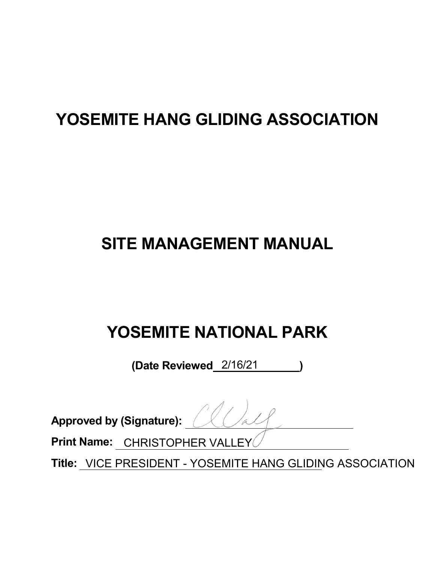# **YOSEMITE HANG GLIDING ASSOCIATION**

# **SITE MANAGEMENT MANUAL**

# **YOSEMITE NATIONAL PARK**

**(Date Reviewed )**  2/16/21

**Approved by (Signature):** 

**Print Name:**  CHRISTOPHER VALLEY

**Title:** VICE PRESIDENT - YOSEMITE HANG GLIDING ASSOCIATION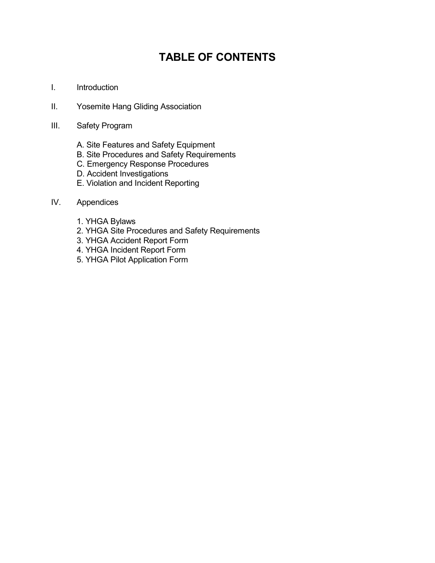# **TABLE OF CONTENTS**

- I. Introduction
- II. Yosemite Hang Gliding Association
- III. Safety Program
	- A. Site Features and Safety Equipment
	- B. Site Procedures and Safety Requirements
	- C. Emergency Response Procedures
	- D. Accident Investigations
	- E. Violation and Incident Reporting

# IV. Appendices

- 1. YHGA Bylaws
- 2. YHGA Site Procedures and Safety Requirements
- 3. YHGA Accident Report Form
- 4. YHGA Incident Report Form
- 5. YHGA Pilot Application Form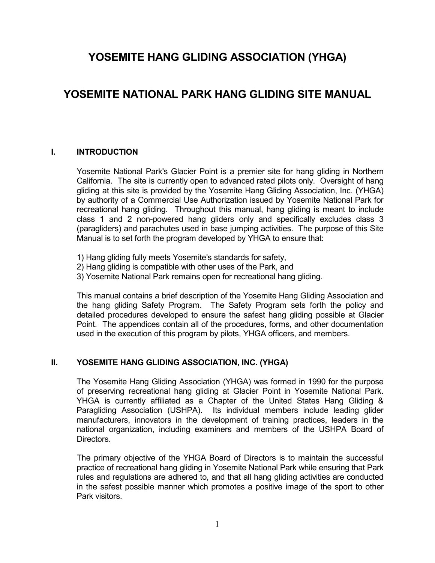# **YOSEMITE HANG GLIDING ASSOCIATION (YHGA)**

# **YOSEMITE NATIONAL PARK HANG GLIDING SITE MANUAL**

# **I. INTRODUCTION**

Yosemite National Park's Glacier Point is a premier site for hang gliding in Northern California. The site is currently open to advanced rated pilots only. Oversight of hang gliding at this site is provided by the Yosemite Hang Gliding Association, Inc. (YHGA) by authority of a Commercial Use Authorization issued by Yosemite National Park for recreational hang gliding. Throughout this manual, hang gliding is meant to include class 1 and 2 non-powered hang gliders only and specifically excludes class 3 (paragliders) and parachutes used in base jumping activities. The purpose of this Site Manual is to set forth the program developed by YHGA to ensure that:

- 1) Hang gliding fully meets Yosemite's standards for safety,
- 2) Hang gliding is compatible with other uses of the Park, and
- 3) Yosemite National Park remains open for recreational hang gliding.

This manual contains a brief description of the Yosemite Hang Gliding Association and the hang gliding Safety Program. The Safety Program sets forth the policy and detailed procedures developed to ensure the safest hang gliding possible at Glacier Point. The appendices contain all of the procedures, forms, and other documentation used in the execution of this program by pilots, YHGA officers, and members.

# **II. YOSEMITE HANG GLIDING ASSOCIATION, INC. (YHGA)**

The Yosemite Hang Gliding Association (YHGA) was formed in 1990 for the purpose of preserving recreational hang gliding at Glacier Point in Yosemite National Park. YHGA is currently affiliated as a Chapter of the United States Hang Gliding & Paragliding Association (USHPA). Its individual members include leading glider manufacturers, innovators in the development of training practices, leaders in the national organization, including examiners and members of the USHPA Board of Directors.

The primary objective of the YHGA Board of Directors is to maintain the successful practice of recreational hang gliding in Yosemite National Park while ensuring that Park rules and regulations are adhered to, and that all hang gliding activities are conducted in the safest possible manner which promotes a positive image of the sport to other Park visitors.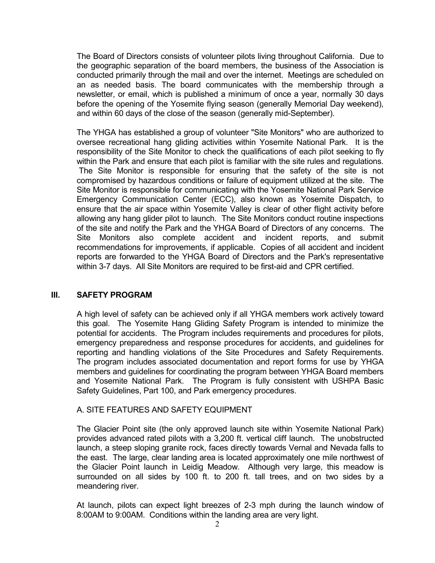The Board of Directors consists of volunteer pilots living throughout California. Due to the geographic separation of the board members, the business of the Association is conducted primarily through the mail and over the internet. Meetings are scheduled on an as needed basis. The board communicates with the membership through a newsletter, or email, which is published a minimum of once a year, normally 30 days before the opening of the Yosemite flying season (generally Memorial Day weekend), and within 60 days of the close of the season (generally mid-September).

The YHGA has established a group of volunteer "Site Monitors" who are authorized to oversee recreational hang gliding activities within Yosemite National Park. It is the responsibility of the Site Monitor to check the qualifications of each pilot seeking to fly within the Park and ensure that each pilot is familiar with the site rules and regulations. The Site Monitor is responsible for ensuring that the safety of the site is not compromised by hazardous conditions or failure of equipment utilized at the site. The Site Monitor is responsible for communicating with the Yosemite National Park Service Emergency Communication Center (ECC), also known as Yosemite Dispatch, to ensure that the air space within Yosemite Valley is clear of other flight activity before allowing any hang glider pilot to launch. The Site Monitors conduct routine inspections of the site and notify the Park and the YHGA Board of Directors of any concerns. The Site Monitors also complete accident and incident reports, and submit recommendations for improvements, if applicable. Copies of all accident and incident reports are forwarded to the YHGA Board of Directors and the Park's representative within 3-7 days. All Site Monitors are required to be first-aid and CPR certified.

# **III. SAFETY PROGRAM**

A high level of safety can be achieved only if all YHGA members work actively toward this goal. The Yosemite Hang Gliding Safety Program is intended to minimize the potential for accidents. The Program includes requirements and procedures for pilots, emergency preparedness and response procedures for accidents, and guidelines for reporting and handling violations of the Site Procedures and Safety Requirements. The program includes associated documentation and report forms for use by YHGA members and guidelines for coordinating the program between YHGA Board members and Yosemite National Park. The Program is fully consistent with USHPA Basic Safety Guidelines, Part 100, and Park emergency procedures.

# A. SITE FEATURES AND SAFETY EQUIPMENT

The Glacier Point site (the only approved launch site within Yosemite National Park) provides advanced rated pilots with a 3,200 ft. vertical cliff launch. The unobstructed launch, a steep sloping granite rock, faces directly towards Vernal and Nevada falls to the east. The large, clear landing area is located approximately one mile northwest of the Glacier Point launch in Leidig Meadow. Although very large, this meadow is surrounded on all sides by 100 ft. to 200 ft. tall trees, and on two sides by a meandering river.

At launch, pilots can expect light breezes of 2-3 mph during the launch window of 8:00AM to 9:00AM. Conditions within the landing area are very light.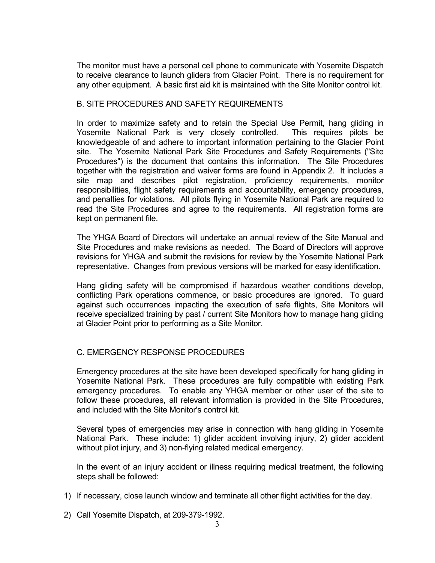The monitor must have a personal cell phone to communicate with Yosemite Dispatch to receive clearance to launch gliders from Glacier Point. There is no requirement for any other equipment. A basic first aid kit is maintained with the Site Monitor control kit.

# B. SITE PROCEDURES AND SAFETY REQUIREMENTS

In order to maximize safety and to retain the Special Use Permit, hang gliding in Yosemite National Park is very closely controlled. This requires pilots be knowledgeable of and adhere to important information pertaining to the Glacier Point site. The Yosemite National Park Site Procedures and Safety Requirements ("Site Procedures") is the document that contains this information. The Site Procedures together with the registration and waiver forms are found in Appendix 2. It includes a site map and describes pilot registration, proficiency requirements, monitor responsibilities, flight safety requirements and accountability, emergency procedures, and penalties for violations. All pilots flying in Yosemite National Park are required to read the Site Procedures and agree to the requirements. All registration forms are kept on permanent file.

The YHGA Board of Directors will undertake an annual review of the Site Manual and Site Procedures and make revisions as needed. The Board of Directors will approve revisions for YHGA and submit the revisions for review by the Yosemite National Park representative. Changes from previous versions will be marked for easy identification.

Hang gliding safety will be compromised if hazardous weather conditions develop, conflicting Park operations commence, or basic procedures are ignored. To guard against such occurrences impacting the execution of safe flights, Site Monitors will receive specialized training by past / current Site Monitors how to manage hang gliding at Glacier Point prior to performing as a Site Monitor.

# C. EMERGENCY RESPONSE PROCEDURES

Emergency procedures at the site have been developed specifically for hang gliding in Yosemite National Park. These procedures are fully compatible with existing Park emergency procedures. To enable any YHGA member or other user of the site to follow these procedures, all relevant information is provided in the Site Procedures, and included with the Site Monitor's control kit.

Several types of emergencies may arise in connection with hang gliding in Yosemite National Park. These include: 1) glider accident involving injury, 2) glider accident without pilot injury, and 3) non-flying related medical emergency.

In the event of an injury accident or illness requiring medical treatment, the following steps shall be followed:

- 1) If necessary, close launch window and terminate all other flight activities for the day.
- 2) Call Yosemite Dispatch, at 209-379-1992.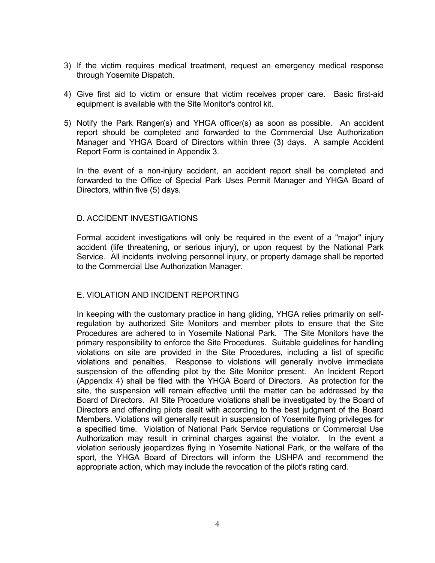- 3) If the victim requires medical treatment, request an emergency medical response through Yosemite Dispatch.
- 4) Give first aid to victim or ensure that victim receives proper care. Basic first-aid equipment is available with the Site Monitor's control kit.
- 5) Notify the Park Ranger(s) and YHGA officer(s) as soon as possible. An accident report should be completed and forwarded to the Commercial Use Authorization Manager and YHGA Board of Directors within three (3) days. A sample Accident Report Form is contained in Appendix 3.

In the event of a non-injury accident, an accident report shall be completed and forwarded to the Office of Special Park Uses Permit Manager and YHGA Board of Directors, within five (5) days.

# D. ACCIDENT INVESTIGATIONS

Formal accident investigations will only be required in the event of a "major" injury accident (life threatening, or serious injury), or upon request by the National Park Service. All incidents involving personnel injury, or property damage shall be reported to the Commercial Use Authorization Manager.

# E. VIOLATION AND INCIDENT REPORTING

In keeping with the customary practice in hang gliding, YHGA relies primarily on selfregulation by authorized Site Monitors and member pilots to ensure that the Site Procedures are adhered to in Yosemite National Park. The Site Monitors have the primary responsibility to enforce the Site Procedures. Suitable guidelines for handling violations on site are provided in the Site Procedures, including a list of specific violations and penalties. Response to violations will generally involve immediate suspension of the offending pilot by the Site Monitor present. An Incident Report (Appendix 4) shall be filed with the YHGA Board of Directors. As protection for the site, the suspension will remain effective until the matter can be addressed by the Board of Directors. All Site Procedure violations shall be investigated by the Board of Directors and offending pilots dealt with according to the best judgment of the Board Members. Violations will generally result in suspension of Yosemite flying privileges for a specified time. Violation of National Park Service regulations or Commercial Use Authorization may result in criminal charges against the violator. In the event a violation seriously jeopardizes flying in Yosemite National Park, or the welfare of the sport, the YHGA Board of Directors will inform the USHPA and recommend the appropriate action, which may include the revocation of the pilot's rating card.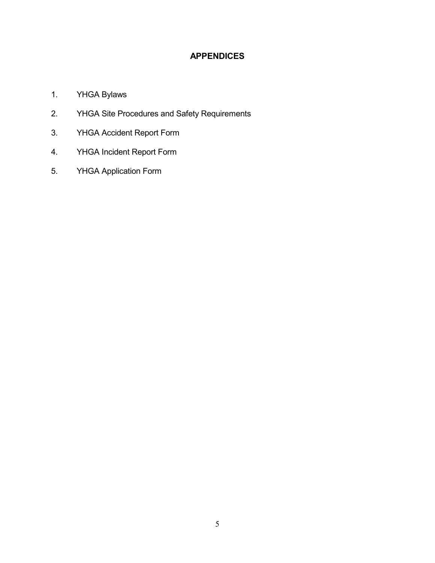# **APPENDICES**

- 1. YHGA Bylaws
- 2. YHGA Site Procedures and Safety Requirements
- 3. YHGA Accident Report Form
- 4. YHGA Incident Report Form
- 5. YHGA Application Form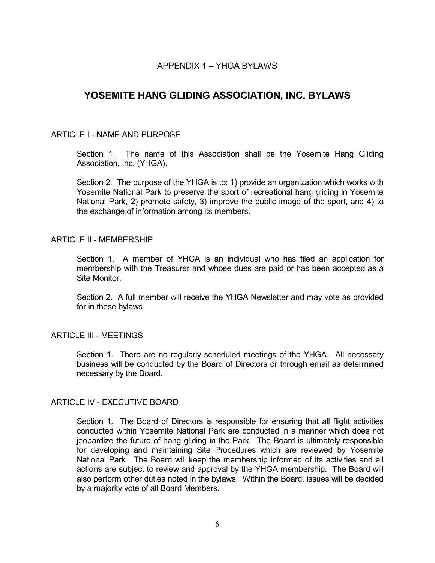# APPENDIX 1 – YHGA BYLAWS

# **YOSEMITE HANG GLIDING ASSOCIATION, INC. BYLAWS**

# ARTICLE I - NAME AND PURPOSE

Section 1. The name of this Association shall be the Yosemite Hang Gliding Association, Inc. (YHGA).

Section 2. The purpose of the YHGA is to: 1) provide an organization which works with Yosemite National Park to preserve the sport of recreational hang gliding in Yosemite National Park, 2) promote safety, 3) improve the public image of the sport, and 4) to the exchange of information among its members.

## ARTICLE II - MEMBERSHIP

Section 1. A member of YHGA is an individual who has filed an application for membership with the Treasurer and whose dues are paid or has been accepted as a Site Monitor.

Section 2. A full member will receive the YHGA Newsletter and may vote as provided for in these bylaws.

# ARTICLE III - MEETINGS

Section 1. There are no regularly scheduled meetings of the YHGA. All necessary business will be conducted by the Board of Directors or through email as determined necessary by the Board.

# ARTICLE IV - EXECUTIVE BOARD

Section 1. The Board of Directors is responsible for ensuring that all flight activities conducted within Yosemite National Park are conducted in a manner which does not jeopardize the future of hang gliding in the Park. The Board is ultimately responsible for developing and maintaining Site Procedures which are reviewed by Yosemite National Park. The Board will keep the membership informed of its activities and all actions are subject to review and approval by the YHGA membership. The Board will also perform other duties noted in the bylaws. Within the Board, issues will be decided by a majority vote of all Board Members.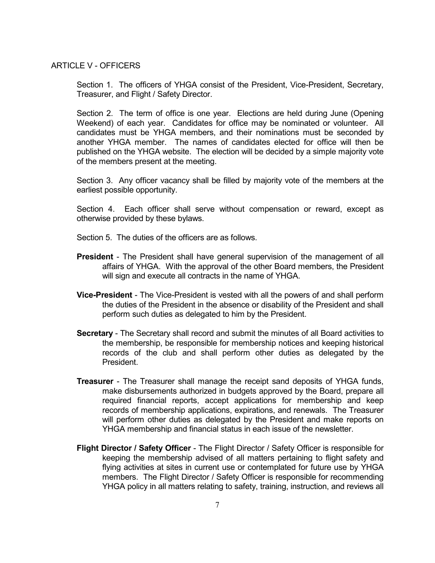#### ARTICLE V - OFFICERS

Section 1. The officers of YHGA consist of the President, Vice-President, Secretary, Treasurer, and Flight / Safety Director.

Section 2. The term of office is one year. Elections are held during June (Opening Weekend) of each year. Candidates for office may be nominated or volunteer. All candidates must be YHGA members, and their nominations must be seconded by another YHGA member. The names of candidates elected for office will then be published on the YHGA website. The election will be decided by a simple majority vote of the members present at the meeting.

Section 3. Any officer vacancy shall be filled by majority vote of the members at the earliest possible opportunity.

Section 4. Each officer shall serve without compensation or reward, except as otherwise provided by these bylaws.

Section 5. The duties of the officers are as follows.

- **President** The President shall have general supervision of the management of all affairs of YHGA. With the approval of the other Board members, the President will sign and execute all contracts in the name of YHGA.
- **Vice-President** The Vice-President is vested with all the powers of and shall perform the duties of the President in the absence or disability of the President and shall perform such duties as delegated to him by the President.
- **Secretary** The Secretary shall record and submit the minutes of all Board activities to the membership, be responsible for membership notices and keeping historical records of the club and shall perform other duties as delegated by the President.
- **Treasurer** The Treasurer shall manage the receipt sand deposits of YHGA funds, make disbursements authorized in budgets approved by the Board, prepare all required financial reports, accept applications for membership and keep records of membership applications, expirations, and renewals. The Treasurer will perform other duties as delegated by the President and make reports on YHGA membership and financial status in each issue of the newsletter.
- **Flight Director / Safety Officer** The Flight Director / Safety Officer is responsible for keeping the membership advised of all matters pertaining to flight safety and flying activities at sites in current use or contemplated for future use by YHGA members. The Flight Director / Safety Officer is responsible for recommending YHGA policy in all matters relating to safety, training, instruction, and reviews all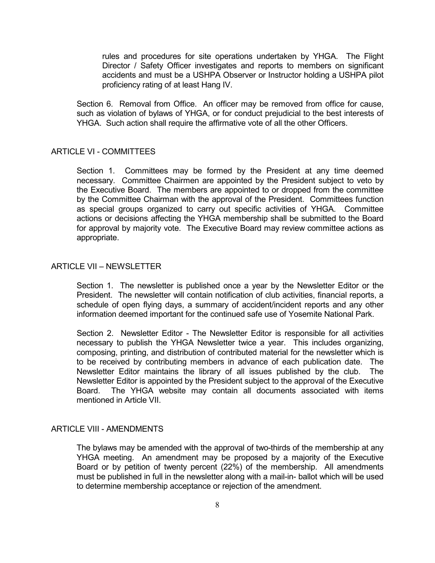rules and procedures for site operations undertaken by YHGA. The Flight Director / Safety Officer investigates and reports to members on significant accidents and must be a USHPA Observer or Instructor holding a USHPA pilot proficiency rating of at least Hang IV.

Section 6. Removal from Office. An officer may be removed from office for cause, such as violation of bylaws of YHGA, or for conduct prejudicial to the best interests of YHGA. Such action shall require the affirmative vote of all the other Officers.

#### ARTICLE VI - COMMITTEES

Section 1. Committees may be formed by the President at any time deemed necessary. Committee Chairmen are appointed by the President subject to veto by the Executive Board. The members are appointed to or dropped from the committee by the Committee Chairman with the approval of the President. Committees function as special groups organized to carry out specific activities of YHGA. Committee actions or decisions affecting the YHGA membership shall be submitted to the Board for approval by majority vote. The Executive Board may review committee actions as appropriate.

#### ARTICLE VII – NEWSLETTER

Section 1. The newsletter is published once a year by the Newsletter Editor or the President. The newsletter will contain notification of club activities, financial reports, a schedule of open flying days, a summary of accident/incident reports and any other information deemed important for the continued safe use of Yosemite National Park.

Section 2. Newsletter Editor - The Newsletter Editor is responsible for all activities necessary to publish the YHGA Newsletter twice a year. This includes organizing, composing, printing, and distribution of contributed material for the newsletter which is to be received by contributing members in advance of each publication date. The Newsletter Editor maintains the library of all issues published by the club. The Newsletter Editor is appointed by the President subject to the approval of the Executive Board. The YHGA website may contain all documents associated with items mentioned in Article VII.

#### ARTICLE VIII - AMENDMENTS

The bylaws may be amended with the approval of two-thirds of the membership at any YHGA meeting. An amendment may be proposed by a majority of the Executive Board or by petition of twenty percent (22%) of the membership. All amendments must be published in full in the newsletter along with a mail-in- ballot which will be used to determine membership acceptance or rejection of the amendment.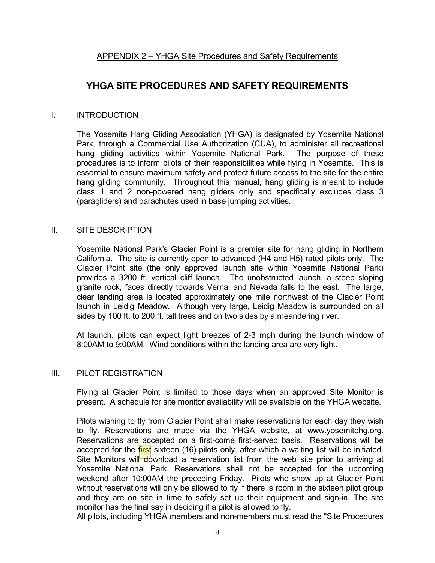# **YHGA SITE PROCEDURES AND SAFETY REQUIREMENTS**

# I. INTRODUCTION

The Yosemite Hang Gliding Association (YHGA) is designated by Yosemite National Park, through a Commercial Use Authorization (CUA), to administer all recreational hang gliding activities within Yosemite National Park. The purpose of these procedures is to inform pilots of their responsibilities while flying in Yosemite. This is essential to ensure maximum safety and protect future access to the site for the entire hang gliding community. Throughout this manual, hang gliding is meant to include class 1 and 2 non-powered hang gliders only and specifically excludes class 3 (paragliders) and parachutes used in base jumping activities.

# II. SITE DESCRIPTION

Yosemite National Park's Glacier Point is a premier site for hang gliding in Northern California. The site is currently open to advanced (H4 and H5) rated pilots only. The Glacier Point site (the only approved launch site within Yosemite National Park) provides a 3200 ft. vertical cliff launch. The unobstructed launch, a steep sloping granite rock, faces directly towards Vernal and Nevada falls to the east. The large, clear landing area is located approximately one mile northwest of the Glacier Point launch in Leidig Meadow. Although very large, Leidig Meadow is surrounded on all sides by 100 ft. to 200 ft. tall trees and on two sides by a meandering river.

At launch, pilots can expect light breezes of 2-3 mph during the launch window of 8:00AM to 9:00AM. Wind conditions within the landing area are very light.

# III. PILOT REGISTRATION

Flying at Glacier Point is limited to those days when an approved Site Monitor is present. A schedule for site monitor availability will be available on the YHGA website.

Pilots wishing to fly from Glacier Point shall make reservations for each day they wish to fly. Reservations are made via the YHGA website, at www.yosemitehg.org. Reservations are accepted on a first-come first-served basis. Reservations will be accepted for the first sixteen (16) pilots only, after which a waiting list will be initiated. Site Monitors will download a reservation list from the web site prior to arriving at Yosemite National Park. Reservations shall not be accepted for the upcoming weekend after 10:00AM the preceding Friday. Pilots who show up at Glacier Point without reservations will only be allowed to fly if there is room in the sixteen pilot group and they are on site in time to safely set up their equipment and sign-in. The site monitor has the final say in deciding if a pilot is allowed to fly.

All pilots, including YHGA members and non-members must read the "Site Procedures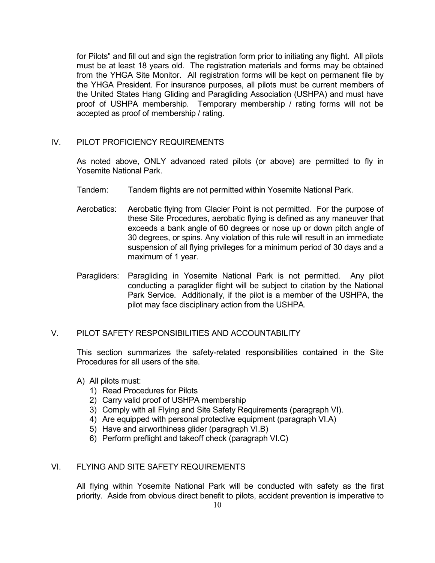for Pilots" and fill out and sign the registration form prior to initiating any flight. All pilots must be at least 18 years old. The registration materials and forms may be obtained from the YHGA Site Monitor. All registration forms will be kept on permanent file by the YHGA President. For insurance purposes, all pilots must be current members of the United States Hang Gliding and Paragliding Association (USHPA) and must have proof of USHPA membership. Temporary membership / rating forms will not be accepted as proof of membership / rating.

## IV. PILOT PROFICIENCY REQUIREMENTS

As noted above, ONLY advanced rated pilots (or above) are permitted to fly in Yosemite National Park.

- Tandem: Tandem flights are not permitted within Yosemite National Park.
- Aerobatics: Aerobatic flying from Glacier Point is not permitted. For the purpose of these Site Procedures, aerobatic flying is defined as any maneuver that exceeds a bank angle of 60 degrees or nose up or down pitch angle of 30 degrees, or spins. Any violation of this rule will result in an immediate suspension of all flying privileges for a minimum period of 30 days and a maximum of 1 year.
- Paragliders: Paragliding in Yosemite National Park is not permitted. Any pilot conducting a paraglider flight will be subject to citation by the National Park Service. Additionally, if the pilot is a member of the USHPA, the pilot may face disciplinary action from the USHPA.

# V. PILOT SAFETY RESPONSIBILITIES AND ACCOUNTABILITY

This section summarizes the safety-related responsibilities contained in the Site Procedures for all users of the site.

- A) All pilots must:
	- 1) Read Procedures for Pilots
	- 2) Carry valid proof of USHPA membership
	- 3) Comply with all Flying and Site Safety Requirements (paragraph VI).
	- 4) Are equipped with personal protective equipment (paragraph VI.A)
	- 5) Have and airworthiness glider (paragraph VI.B)
	- 6) Perform preflight and takeoff check (paragraph VI.C)

## VI. FLYING AND SITE SAFETY REQUIREMENTS

All flying within Yosemite National Park will be conducted with safety as the first priority. Aside from obvious direct benefit to pilots, accident prevention is imperative to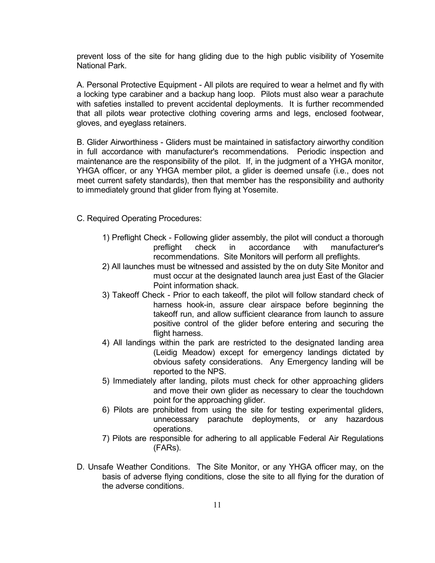prevent loss of the site for hang gliding due to the high public visibility of Yosemite National Park.

A. Personal Protective Equipment - All pilots are required to wear a helmet and fly with a locking type carabiner and a backup hang loop. Pilots must also wear a parachute with safeties installed to prevent accidental deployments. It is further recommended that all pilots wear protective clothing covering arms and legs, enclosed footwear, gloves, and eyeglass retainers.

B. Glider Airworthiness - Gliders must be maintained in satisfactory airworthy condition in full accordance with manufacturer's recommendations. Periodic inspection and maintenance are the responsibility of the pilot. If, in the judgment of a YHGA monitor, YHGA officer, or any YHGA member pilot, a glider is deemed unsafe (i.e., does not meet current safety standards), then that member has the responsibility and authority to immediately ground that glider from flying at Yosemite.

C. Required Operating Procedures:

- 1) Preflight Check Following glider assembly, the pilot will conduct a thorough preflight check in accordance with manufacturer's recommendations. Site Monitors will perform all preflights.
- 2) All launches must be witnessed and assisted by the on duty Site Monitor and must occur at the designated launch area just East of the Glacier Point information shack.
- 3) Takeoff Check Prior to each takeoff, the pilot will follow standard check of harness hook-in, assure clear airspace before beginning the takeoff run, and allow sufficient clearance from launch to assure positive control of the glider before entering and securing the flight harness.
- 4) All landings within the park are restricted to the designated landing area (Leidig Meadow) except for emergency landings dictated by obvious safety considerations. Any Emergency landing will be reported to the NPS.
- 5) Immediately after landing, pilots must check for other approaching gliders and move their own glider as necessary to clear the touchdown point for the approaching glider.
- 6) Pilots are prohibited from using the site for testing experimental gliders, unnecessary parachute deployments, or any hazardous operations.
- 7) Pilots are responsible for adhering to all applicable Federal Air Regulations (FARs).
- D. Unsafe Weather Conditions. The Site Monitor, or any YHGA officer may, on the basis of adverse flying conditions, close the site to all flying for the duration of the adverse conditions.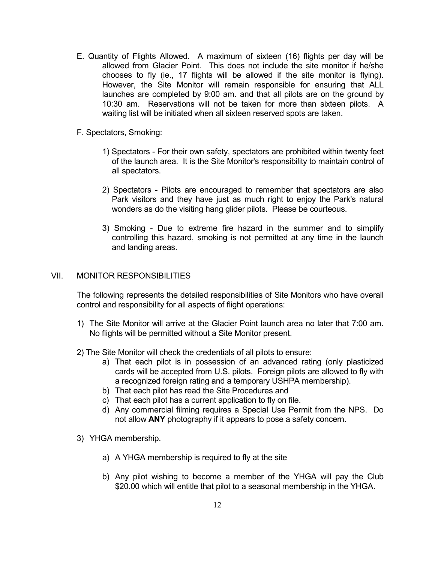- E. Quantity of Flights Allowed. A maximum of sixteen (16) flights per day will be allowed from Glacier Point. This does not include the site monitor if he/she chooses to fly (ie., 17 flights will be allowed if the site monitor is flying). However, the Site Monitor will remain responsible for ensuring that ALL launches are completed by 9:00 am. and that all pilots are on the ground by 10:30 am. Reservations will not be taken for more than sixteen pilots. A waiting list will be initiated when all sixteen reserved spots are taken.
- F. Spectators, Smoking:
	- 1) Spectators For their own safety, spectators are prohibited within twenty feet of the launch area. It is the Site Monitor's responsibility to maintain control of all spectators.
	- 2) Spectators Pilots are encouraged to remember that spectators are also Park visitors and they have just as much right to enjoy the Park's natural wonders as do the visiting hang glider pilots. Please be courteous.
	- 3) Smoking Due to extreme fire hazard in the summer and to simplify controlling this hazard, smoking is not permitted at any time in the launch and landing areas.

#### VII. MONITOR RESPONSIBILITIES

The following represents the detailed responsibilities of Site Monitors who have overall control and responsibility for all aspects of flight operations:

- 1) The Site Monitor will arrive at the Glacier Point launch area no later that 7:00 am. No flights will be permitted without a Site Monitor present.
- 2) The Site Monitor will check the credentials of all pilots to ensure:
	- a) That each pilot is in possession of an advanced rating (only plasticized cards will be accepted from U.S. pilots. Foreign pilots are allowed to fly with a recognized foreign rating and a temporary USHPA membership).
	- b) That each pilot has read the Site Procedures and
	- c) That each pilot has a current application to fly on file.
	- d) Any commercial filming requires a Special Use Permit from the NPS. Do not allow **ANY** photography if it appears to pose a safety concern.
- 3) YHGA membership.
	- a) A YHGA membership is required to fly at the site
	- b) Any pilot wishing to become a member of the YHGA will pay the Club \$20.00 which will entitle that pilot to a seasonal membership in the YHGA.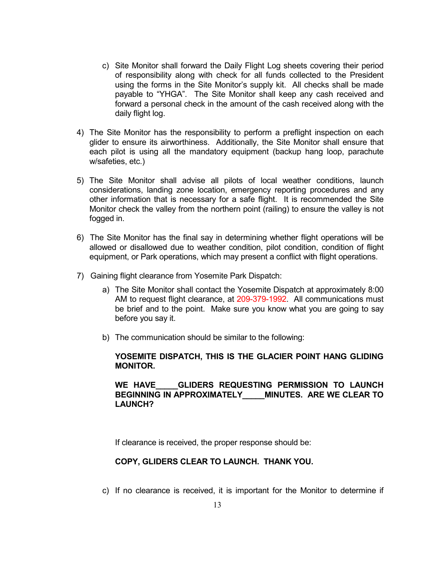- c) Site Monitor shall forward the Daily Flight Log sheets covering their period of responsibility along with check for all funds collected to the President using the forms in the Site Monitor's supply kit. All checks shall be made payable to "YHGA". The Site Monitor shall keep any cash received and forward a personal check in the amount of the cash received along with the daily flight log.
- 4) The Site Monitor has the responsibility to perform a preflight inspection on each glider to ensure its airworthiness. Additionally, the Site Monitor shall ensure that each pilot is using all the mandatory equipment (backup hang loop, parachute w/safeties, etc.)
- 5) The Site Monitor shall advise all pilots of local weather conditions, launch considerations, landing zone location, emergency reporting procedures and any other information that is necessary for a safe flight. It is recommended the Site Monitor check the valley from the northern point (railing) to ensure the valley is not fogged in.
- 6) The Site Monitor has the final say in determining whether flight operations will be allowed or disallowed due to weather condition, pilot condition, condition of flight equipment, or Park operations, which may present a conflict with flight operations.
- 7) Gaining flight clearance from Yosemite Park Dispatch:
	- a) The Site Monitor shall contact the Yosemite Dispatch at approximately 8:00 AM to request flight clearance, at 209-379-1992. All communications must be brief and to the point. Make sure you know what you are going to say before you say it.
	- b) The communication should be similar to the following:

## **YOSEMITE DISPATCH, THIS IS THE GLACIER POINT HANG GLIDING MONITOR.**

# **WE HAVE\_\_\_\_\_GLIDERS REQUESTING PERMISSION TO LAUNCH BEGINNING IN APPROXIMATELY\_\_\_\_\_MINUTES. ARE WE CLEAR TO LAUNCH?**

If clearance is received, the proper response should be:

## **COPY, GLIDERS CLEAR TO LAUNCH. THANK YOU.**

c) If no clearance is received, it is important for the Monitor to determine if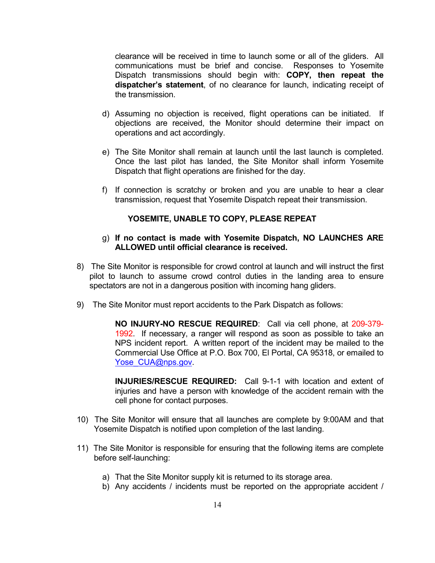clearance will be received in time to launch some or all of the gliders. All communications must be brief and concise. Responses to Yosemite Dispatch transmissions should begin with: **COPY, then repeat the dispatcher's statement**, of no clearance for launch, indicating receipt of the transmission.

- d) Assuming no objection is received, flight operations can be initiated. If objections are received, the Monitor should determine their impact on operations and act accordingly.
- e) The Site Monitor shall remain at launch until the last launch is completed. Once the last pilot has landed, the Site Monitor shall inform Yosemite Dispatch that flight operations are finished for the day.
- f) If connection is scratchy or broken and you are unable to hear a clear transmission, request that Yosemite Dispatch repeat their transmission.

## **YOSEMITE, UNABLE TO COPY, PLEASE REPEAT**

#### g) **If no contact is made with Yosemite Dispatch, NO LAUNCHES ARE ALLOWED until official clearance is received.**

- 8) The Site Monitor is responsible for crowd control at launch and will instruct the first pilot to launch to assume crowd control duties in the landing area to ensure spectators are not in a dangerous position with incoming hang gliders.
- 9) The Site Monitor must report accidents to the Park Dispatch as follows:

**NO INJURY-NO RESCUE REQUIRED**: Call via cell phone, at 209-379- 1992. If necessary, a ranger will respond as soon as possible to take an NPS incident report. A written report of the incident may be mailed to the Commercial Use Office at P.O. Box 700, El Portal, CA 95318, or emailed to [Yose\\_CUA@nps.gov.](mailto:Ruth_Middlecamp@nps.gov)

**INJURIES/RESCUE REQUIRED:** Call 9-1-1 with location and extent of injuries and have a person with knowledge of the accident remain with the cell phone for contact purposes.

- 10) The Site Monitor will ensure that all launches are complete by 9:00AM and that Yosemite Dispatch is notified upon completion of the last landing.
- 11) The Site Monitor is responsible for ensuring that the following items are complete before self-launching:
	- a) That the Site Monitor supply kit is returned to its storage area.
	- b) Any accidents / incidents must be reported on the appropriate accident /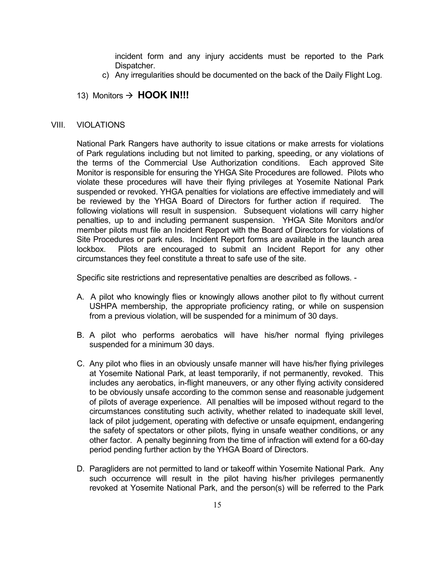incident form and any injury accidents must be reported to the Park Dispatcher.

c) Any irregularities should be documented on the back of the Daily Flight Log.

# 13) Monitors  $\rightarrow$  **HOOK IN!!!**

#### VIII. VIOLATIONS

National Park Rangers have authority to issue citations or make arrests for violations of Park regulations including but not limited to parking, speeding, or any violations of the terms of the Commercial Use Authorization conditions. Each approved Site Monitor is responsible for ensuring the YHGA Site Procedures are followed. Pilots who violate these procedures will have their flying privileges at Yosemite National Park suspended or revoked. YHGA penalties for violations are effective immediately and will be reviewed by the YHGA Board of Directors for further action if required. The following violations will result in suspension. Subsequent violations will carry higher penalties, up to and including permanent suspension. YHGA Site Monitors and/or member pilots must file an Incident Report with the Board of Directors for violations of Site Procedures or park rules. Incident Report forms are available in the launch area lockbox. Pilots are encouraged to submit an Incident Report for any other circumstances they feel constitute a threat to safe use of the site.

Specific site restrictions and representative penalties are described as follows. -

- A. A pilot who knowingly flies or knowingly allows another pilot to fly without current USHPA membership, the appropriate proficiency rating, or while on suspension from a previous violation, will be suspended for a minimum of 30 days.
- B. A pilot who performs aerobatics will have his/her normal flying privileges suspended for a minimum 30 days.
- C. Any pilot who flies in an obviously unsafe manner will have his/her flying privileges at Yosemite National Park, at least temporarily, if not permanently, revoked. This includes any aerobatics, in-flight maneuvers, or any other flying activity considered to be obviously unsafe according to the common sense and reasonable judgement of pilots of average experience. All penalties will be imposed without regard to the circumstances constituting such activity, whether related to inadequate skill level, lack of pilot judgement, operating with defective or unsafe equipment, endangering the safety of spectators or other pilots, flying in unsafe weather conditions, or any other factor. A penalty beginning from the time of infraction will extend for a 60-day period pending further action by the YHGA Board of Directors.
- D. Paragliders are not permitted to land or takeoff within Yosemite National Park. Any such occurrence will result in the pilot having his/her privileges permanently revoked at Yosemite National Park, and the person(s) will be referred to the Park